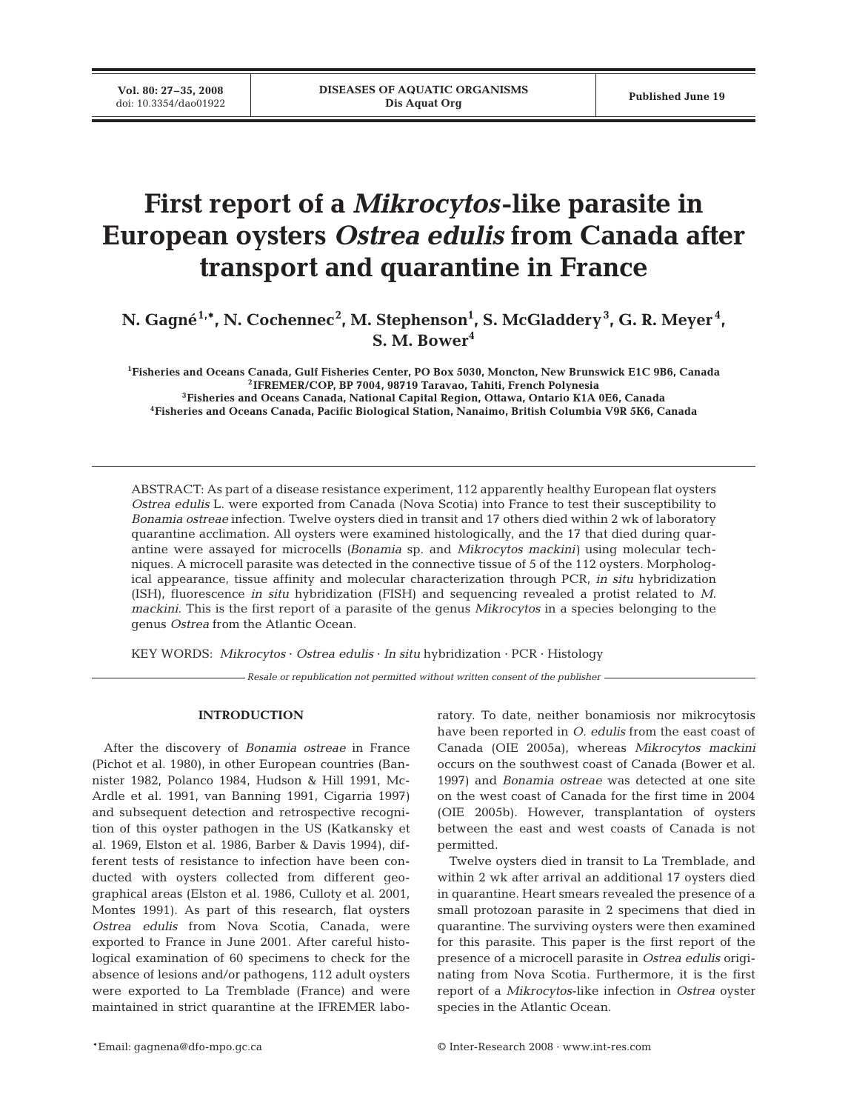**Vol. 80: 27–35, 2008**<br>doi: 10.3354/dao01922

# **First report of a** *Mikrocytos***-like parasite in European oysters** *Ostrea edulis* **from Canada after transport and quarantine in France**

N. Gagné<sup>1,\*</sup>, N. Cochennec<sup>2</sup>, M. Stephenson<sup>1</sup>, S. McGladdery<sup>3</sup>, G. R. Meyer<sup>4</sup>, **S. M. Bower4**

**1Fisheries and Oceans Canada, Gulf Fisheries Center, PO Box 5030, Moncton, New Brunswick E1C 9B6, Canada 2IFREMER/COP, BP 7004, 98719 Taravao, Tahiti, French Polynesia 3Fisheries and Oceans Canada, National Capital Region, Ottawa, Ontario K1A 0E6, Canada 4Fisheries and Oceans Canada, Pacific Biological Station, Nanaimo, British Columbia V9R 5K6, Canada**

ABSTRACT: As part of a disease resistance experiment, 112 apparently healthy European flat oysters *Ostrea edulis* L. were exported from Canada (Nova Scotia) into France to test their susceptibility to *Bonamia ostreae* infection. Twelve oysters died in transit and 17 others died within 2 wk of laboratory quarantine acclimation. All oysters were examined histologically, and the 17 that died during quarantine were assayed for microcells *(Bonamia* sp. and *Mikrocytos mackini)* using molecular techniques. A microcell parasite was detected in the connective tissue of 5 of the 112 oysters. Morphological appearance, tissue affinity and molecular characterization through PCR, *in situ* hybridization (ISH), fluorescence *in situ* hybridization (FISH) and sequencing revealed a protist related to *M. mackini*. This is the first report of a parasite of the genus *Mikrocytos* in a species belonging to the genus *Ostrea* from the Atlantic Ocean.

KEY WORDS: *Mikrocytos* · *Ostrea edulis* · *In situ* hybridization · PCR · Histology

*Resale or republication not permitted without written consent of the publisher*

#### **INTRODUCTION**

After the discovery of *Bonamia ostreae* in France (Pichot et al. 1980), in other European countries (Bannister 1982, Polanco 1984, Hudson & Hill 1991, Mc-Ardle et al. 1991, van Banning 1991, Cigarria 1997) and subsequent detection and retrospective recognition of this oyster pathogen in the US (Katkansky et al. 1969, Elston et al. 1986, Barber & Davis 1994), different tests of resistance to infection have been conducted with oysters collected from different geographical areas (Elston et al. 1986, Culloty et al. 2001, Montes 1991). As part of this research, flat oysters *Ostrea edulis* from Nova Scotia, Canada, were exported to France in June 2001. After careful histological examination of 60 specimens to check for the absence of lesions and/or pathogens, 112 adult oysters were exported to La Tremblade (France) and were maintained in strict quarantine at the IFREMER laboratory. To date, neither bonamiosis nor mikrocytosis have been reported in *O. edulis* from the east coast of Canada (OIE 2005a), whereas *Mikrocytos mackini* occurs on the southwest coast of Canada (Bower et al. 1997) and *Bonamia ostreae* was detected at one site on the west coast of Canada for the first time in 2004 (OIE 2005b). However, transplantation of oysters between the east and west coasts of Canada is not permitted.

Twelve oysters died in transit to La Tremblade, and within 2 wk after arrival an additional 17 oysters died in quarantine. Heart smears revealed the presence of a small protozoan parasite in 2 specimens that died in quarantine. The surviving oysters were then examined for this parasite. This paper is the first report of the presence of a microcell parasite in *Ostrea edulis* originating from Nova Scotia. Furthermore, it is the first report of a *Mikrocytos*-like infection in *Ostrea* oyster species in the Atlantic Ocean.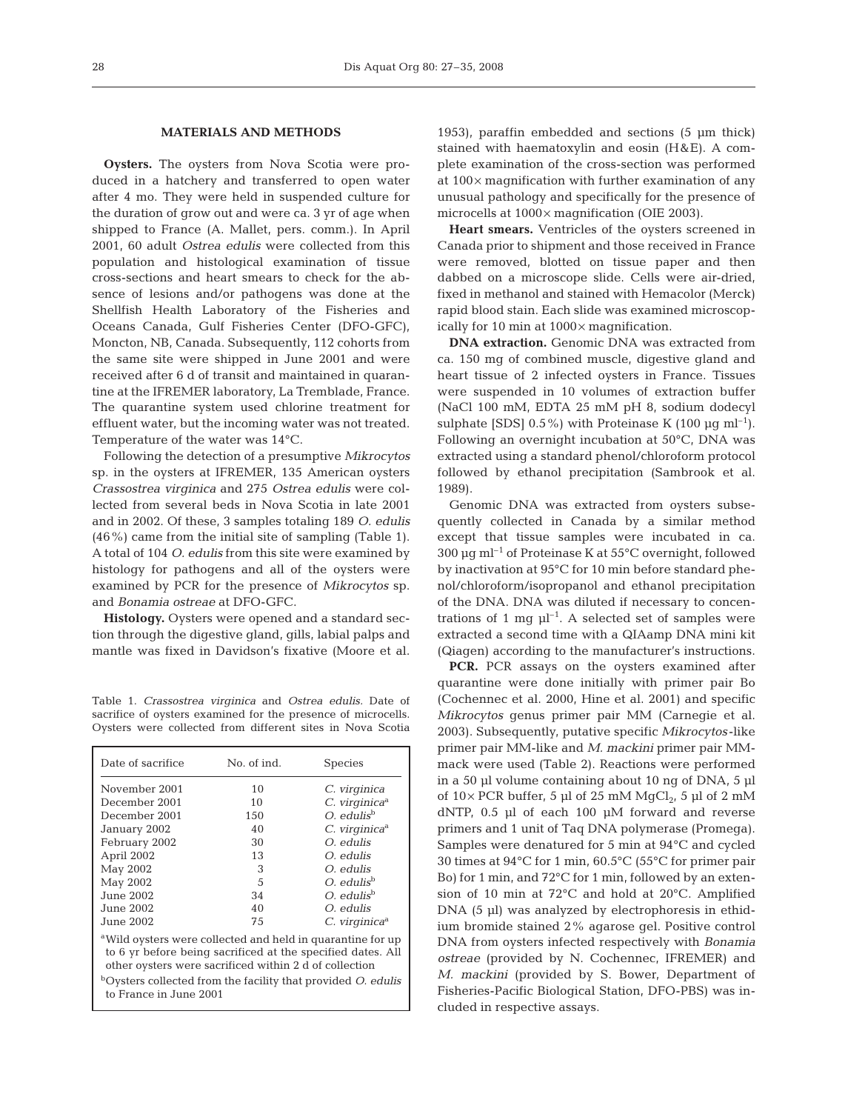## **MATERIALS AND METHODS**

**Oysters.** The oysters from Nova Scotia were produced in a hatchery and transferred to open water after 4 mo. They were held in suspended culture for the duration of grow out and were ca. 3 yr of age when shipped to France (A. Mallet, pers. comm.). In April 2001, 60 adult *Ostrea edulis* were collected from this population and histological examination of tissue cross-sections and heart smears to check for the absence of lesions and/or pathogens was done at the Shellfish Health Laboratory of the Fisheries and Oceans Canada, Gulf Fisheries Center (DFO-GFC), Moncton, NB, Canada. Subsequently, 112 cohorts from the same site were shipped in June 2001 and were received after 6 d of transit and maintained in quarantine at the IFREMER laboratory, La Tremblade, France. The quarantine system used chlorine treatment for effluent water, but the incoming water was not treated. Temperature of the water was 14°C.

Following the detection of a presumptive *Mikrocytos* sp. in the oysters at IFREMER, 135 American oysters *Crassostrea virginica* and 275 *Ostrea edulis* were collected from several beds in Nova Scotia in late 2001 and in 2002. Of these, 3 samples totaling 189 *O. edulis* (46%) came from the initial site of sampling (Table 1). A total of 104 *O. edulis* from this site were examined by histology for pathogens and all of the oysters were examined by PCR for the presence of *Mikrocytos* sp. and *Bonamia ostreae* at DFO-GFC.

**Histology.** Oysters were opened and a standard section through the digestive gland, gills, labial palps and mantle was fixed in Davidson's fixative (Moore et al.

Table 1. *Crassostrea virginica* and *Ostrea edulis.* Date of sacrifice of oysters examined for the presence of microcells. Oysters were collected from different sites in Nova Scotia

| Date of sacrifice                                                                                                                                                                                                                                                                                     | No. of ind. | <b>Species</b>              |  |  |  |  |
|-------------------------------------------------------------------------------------------------------------------------------------------------------------------------------------------------------------------------------------------------------------------------------------------------------|-------------|-----------------------------|--|--|--|--|
| November 2001                                                                                                                                                                                                                                                                                         | 10          | C. virginica                |  |  |  |  |
| December 2001                                                                                                                                                                                                                                                                                         | 10          | $C.$ virginica <sup>a</sup> |  |  |  |  |
| December 2001                                                                                                                                                                                                                                                                                         | 150         | $O.$ edulis <sup>b</sup>    |  |  |  |  |
| January 2002                                                                                                                                                                                                                                                                                          | 40          | $C.$ virginica <sup>a</sup> |  |  |  |  |
| February 2002                                                                                                                                                                                                                                                                                         | 30          | O. edulis                   |  |  |  |  |
| April 2002                                                                                                                                                                                                                                                                                            | 13          | O. edulis                   |  |  |  |  |
| May 2002                                                                                                                                                                                                                                                                                              | 3           | O. edulis                   |  |  |  |  |
| May 2002                                                                                                                                                                                                                                                                                              | 5           | $O.$ edulis <sup>b</sup>    |  |  |  |  |
| June 2002.                                                                                                                                                                                                                                                                                            | 34          | $O.$ edulis <sup>b</sup>    |  |  |  |  |
| June 2002                                                                                                                                                                                                                                                                                             | 40          | O. edulis                   |  |  |  |  |
| June 2002                                                                                                                                                                                                                                                                                             | 75          | C. virginica <sup>a</sup>   |  |  |  |  |
| <sup>a</sup> Wild oysters were collected and held in quarantine for up<br>to 6 yr before being sacrificed at the specified dates. All<br>other oysters were sacrificed within 2 d of collection<br><sup>b</sup> Oysters collected from the facility that provided O. edulis<br>to France in June 2001 |             |                             |  |  |  |  |

1953), paraffin embedded and sections (5 µm thick) stained with haematoxylin and eosin (H&E). A complete examination of the cross-section was performed at 100× magnification with further examination of any unusual pathology and specifically for the presence of microcells at 1000× magnification (OIE 2003).

**Heart smears.** Ventricles of the oysters screened in Canada prior to shipment and those received in France were removed, blotted on tissue paper and then dabbed on a microscope slide. Cells were air-dried, fixed in methanol and stained with Hemacolor (Merck) rapid blood stain. Each slide was examined microscopically for 10 min at  $1000 \times$  magnification.

**DNA extraction.** Genomic DNA was extracted from ca. 150 mg of combined muscle, digestive gland and heart tissue of 2 infected oysters in France. Tissues were suspended in 10 volumes of extraction buffer (NaCl 100 mM, EDTA 25 mM pH 8, sodium dodecyl sulphate [SDS]  $0.5\%$ ) with Proteinase K (100  $\mu$ g ml<sup>-1</sup>). Following an overnight incubation at 50°C, DNA was extracted using a standard phenol/chloroform protocol followed by ethanol precipitation (Sambrook et al. 1989).

Genomic DNA was extracted from oysters subsequently collected in Canada by a similar method except that tissue samples were incubated in ca. 300  $\mu$ g ml<sup>-1</sup> of Proteinase K at 55°C overnight, followed by inactivation at 95°C for 10 min before standard phenol/chloroform/isopropanol and ethanol precipitation of the DNA. DNA was diluted if necessary to concentrations of 1 mg  $\mu$ <sup>-1</sup>. A selected set of samples were extracted a second time with a QIAamp DNA mini kit (Qiagen) according to the manufacturer's instructions.

**PCR.** PCR assays on the oysters examined after quarantine were done initially with primer pair Bo (Cochennec et al. 2000, Hine et al. 2001) and specific *Mikrocytos* genus primer pair MM (Carnegie et al. 2003). Subsequently, putative specific *Mikrocytos* -like primer pair MM-like and *M. mackini* primer pair MMmack were used (Table 2). Reactions were performed in a 50 µl volume containing about 10 ng of DNA, 5 µl of  $10\times$  PCR buffer, 5 µl of 25 mM MgCl<sub>2</sub>, 5 µl of 2 mM dNTP, 0.5 µl of each 100 µM forward and reverse primers and 1 unit of Taq DNA polymerase (Promega). Samples were denatured for 5 min at 94°C and cycled 30 times at 94°C for 1 min, 60.5°C (55°C for primer pair Bo) for 1 min, and 72°C for 1 min, followed by an extension of 10 min at 72°C and hold at 20°C. Amplified DNA (5 µl) was analyzed by electrophoresis in ethidium bromide stained 2% agarose gel. Positive control DNA from oysters infected respectively with *Bonamia ostreae* (provided by N. Cochennec, IFREMER) and *M. mackini* (provided by S. Bower, Department of Fisheries-Pacific Biological Station, DFO-PBS) was included in respective assays.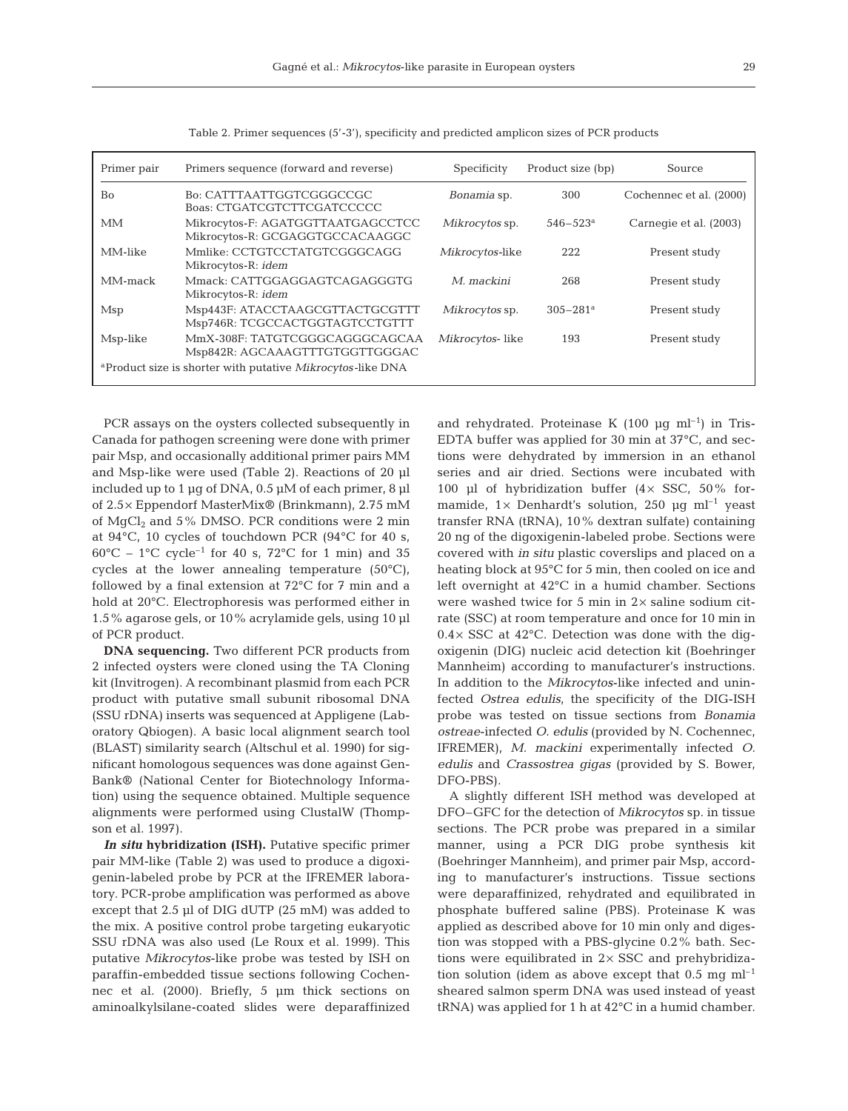| ۰, |        |
|----|--------|
|    | I<br>I |
|    |        |

| Primer pair                                                            | Primers sequence (forward and reverse)                               | Specificity     | Product size (bp)                                  | Source                  |  |
|------------------------------------------------------------------------|----------------------------------------------------------------------|-----------------|----------------------------------------------------|-------------------------|--|
| <b>Bo</b>                                                              | Bo: CATTTAATTGGTCGGGCCGC<br>Boas: CTGATCGTCTTCGATCCCCC               | Bonamia sp.     | 300                                                | Cochennec et al. (2000) |  |
| МM                                                                     | Mikrocytos-F: AGATGGTTAATGAGCCTCC<br>Mikrocytos-R: GCGAGGTGCCACAAGGC | Mikrocytos sp.  | Carnegie et al. (2003)<br>$546 - 523$ <sup>a</sup> |                         |  |
| MM-like                                                                | Mmlike: CCTGTCCTATGTCGGGCAGG<br>Mikrocytos-R: <i>idem</i>            | Mikrocytos-like | 222                                                | Present study           |  |
| MM-mack                                                                | Mmack: CATTGGAGGAGTCAGAGGGTG<br>Mikrocytos-R: <i>idem</i>            | M. mackini      | 268                                                | Present study           |  |
| Msp                                                                    | Msp443F: ATACCTAAGCGTTACTGCGTTT<br>Msp746R: TCGCCACTGGTAGTCCTGTTT    | Mikrocytos sp.  | $305 - 281$ <sup>a</sup>                           | Present study           |  |
| Msp-like                                                               | MmX-308F: TATGTCGGGCAGGGCAGCAA<br>Msp842R: AGCAAAGTTTGTGGTTGGGAC     | Mikrocytos-like | 193                                                | Present study           |  |
| <sup>a</sup> Product size is shorter with putative Mikrocytos-like DNA |                                                                      |                 |                                                    |                         |  |

Table 2. Primer sequences (5'-3'), specificity and predicted amplicon sizes of PCR products

PCR assays on the oysters collected subsequently in Canada for pathogen screening were done with primer pair Msp, and occasionally additional primer pairs MM and Msp-like were used (Table 2). Reactions of 20 µl included up to 1  $\mu$ g of DNA, 0.5  $\mu$ M of each primer, 8  $\mu$ l of 2.5× Eppendorf MasterMix® (Brinkmann), 2.75 mM of  $MqCl<sub>2</sub>$  and 5% DMSO. PCR conditions were 2 min at 94°C, 10 cycles of touchdown PCR (94°C for 40 s,  $60^{\circ}$ C – 1°C cycle<sup>-1</sup> for 40 s, 72°C for 1 min) and 35 cycles at the lower annealing temperature (50°C), followed by a final extension at 72°C for 7 min and a hold at 20°C. Electrophoresis was performed either in 1.5% agarose gels, or 10% acrylamide gels, using 10 µl of PCR product.

**DNA sequencing.** Two different PCR products from 2 infected oysters were cloned using the TA Cloning kit (Invitrogen). A recombinant plasmid from each PCR product with putative small subunit ribosomal DNA (SSU rDNA) inserts was sequenced at Appligene (Laboratory Qbiogen). A basic local alignment search tool (BLAST) similarity search (Altschul et al. 1990) for significant homologous sequences was done against Gen-Bank® (National Center for Biotechnology Information) using the sequence obtained. Multiple sequence alignments were performed using ClustalW (Thompson et al. 1997).

*In situ* **hybridization (ISH).** Putative specific primer pair MM-like (Table 2) was used to produce a digoxigenin-labeled probe by PCR at the IFREMER laboratory. PCR-probe amplification was performed as above except that 2.5 µl of DIG dUTP (25 mM) was added to the mix. A positive control probe targeting eukaryotic SSU rDNA was also used (Le Roux et al. 1999). This putative *Mikrocytos*-like probe was tested by ISH on paraffin-embedded tissue sections following Cochennec et al. (2000). Briefly, 5 µm thick sections on aminoalkylsilane-coated slides were deparaffinized

and rehydrated. Proteinase K (100  $\mu$ g ml<sup>-1</sup>) in Tris-EDTA buffer was applied for 30 min at 37°C, and sections were dehydrated by immersion in an ethanol series and air dried. Sections were incubated with 100 µl of hybridization buffer ( $4 \times$  SSC, 50% formamide,  $1 \times$  Denhardt's solution, 250 µg ml<sup>-1</sup> yeast transfer RNA (tRNA), 10% dextran sulfate) containing 20 ng of the digoxigenin-labeled probe. Sections were covered with *in situ* plastic coverslips and placed on a heating block at 95°C for 5 min, then cooled on ice and left overnight at 42°C in a humid chamber. Sections were washed twice for 5 min in  $2\times$  saline sodium citrate (SSC) at room temperature and once for 10 min in  $0.4\times$  SSC at 42 $^{\circ}$ C. Detection was done with the digoxigenin (DIG) nucleic acid detection kit (Boehringer Mannheim) according to manufacturer's instructions. In addition to the *Mikrocytos*-like infected and uninfected *Ostrea edulis*, the specificity of the DIG-ISH probe was tested on tissue sections from *Bonamia ostreae*-infected *O. edulis* (provided by N. Cochennec, IFREMER), *M. mackini* experimentally infected *O. edulis* and *Crassostrea gigas* (provided by S. Bower, DFO-PBS).

A slightly different ISH method was developed at DFO–GFC for the detection of *Mikrocytos* sp. in tissue sections. The PCR probe was prepared in a similar manner, using a PCR DIG probe synthesis kit (Boehringer Mannheim), and primer pair Msp, according to manufacturer's instructions. Tissue sections were deparaffinized, rehydrated and equilibrated in phosphate buffered saline (PBS). Proteinase K was applied as described above for 10 min only and digestion was stopped with a PBS-glycine 0.2% bath. Sections were equilibrated in  $2 \times SSC$  and prehybridization solution (idem as above except that  $0.5 \text{ mg ml}^{-1}$ sheared salmon sperm DNA was used instead of yeast tRNA) was applied for 1 h at 42°C in a humid chamber.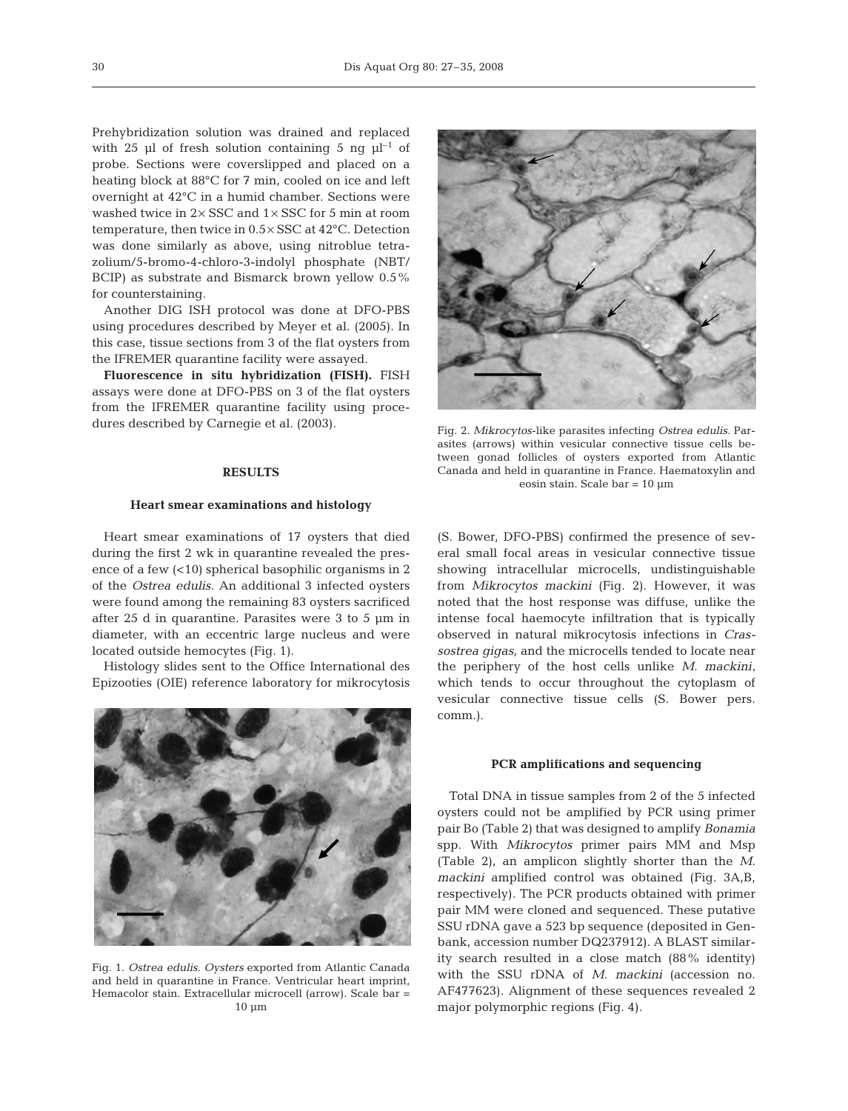Prehybridization solution was drained and replaced with 25 µl of fresh solution containing 5 ng  $\mu$ l<sup>-1</sup> of probe. Sections were coverslipped and placed on a heating block at 88°C for 7 min, cooled on ice and left overnight at 42°C in a humid chamber. Sections were washed twice in 2× SSC and 1× SSC for 5 min at room temperature, then twice in 0.5× SSC at 42°C. Detection was done similarly as above, using nitroblue tetrazolium/5-bromo-4-chloro-3-indolyl phosphate (NBT/ BCIP) as substrate and Bismarck brown yellow 0.5% for counterstaining.

Another DIG ISH protocol was done at DFO-PBS using procedures described by Meyer et al. (2005). In this case, tissue sections from 3 of the flat oysters from the IFREMER quarantine facility were assayed.

**Fluorescence in situ hybridization (FISH).** FISH assays were done at DFO-PBS on 3 of the flat oysters from the IFREMER quarantine facility using procedures described by Carnegie et al. (2003).

## **RESULTS**

#### **Heart smear examinations and histology**

Heart smear examinations of 17 oysters that died during the first 2 wk in quarantine revealed the presence of a few (<10) spherical basophilic organisms in 2 of the *Ostrea edulis*. An additional 3 infected oysters were found among the remaining 83 oysters sacrificed after 25 d in quarantine. Parasites were 3 to 5 µm in diameter, with an eccentric large nucleus and were located outside hemocytes (Fig. 1).

Histology slides sent to the Office International des Epizooties (OIE) reference laboratory for mikrocytosis



Fig. 1. *Ostrea edulis. Oysters* exported from Atlantic Canada and held in quarantine in France. Ventricular heart imprint, Hemacolor stain. Extracellular microcell (arrow). Scale bar = 10 µm



Fig. 2. *Mikrocytos*-like parasites infecting *Ostrea edulis.* Parasites (arrows) within vesicular connective tissue cells between gonad follicles of oysters exported from Atlantic Canada and held in quarantine in France. Haematoxylin and eosin stain. Scale bar = 10 µm

(S. Bower, DFO-PBS) confirmed the presence of several small focal areas in vesicular connective tissue showing intracellular microcells, undistinguishable from *Mikrocytos mackini* (Fig. 2). However, it was noted that the host response was diffuse, unlike the intense focal haemocyte infiltration that is typically observed in natural mikrocytosis infections in *Crassostrea gigas,* and the microcells tended to locate near the periphery of the host cells unlike *M. mackini*, which tends to occur throughout the cytoplasm of vesicular connective tissue cells (S. Bower pers. comm.).

#### **PCR amplifications and sequencing**

Total DNA in tissue samples from 2 of the 5 infected oysters could not be amplified by PCR using primer pair Bo (Table 2) that was designed to amplify *Bonamia* spp. With *Mikrocytos* primer pairs MM and Msp (Table 2), an amplicon slightly shorter than the *M. mackini* amplified control was obtained (Fig. 3A,B, respectively). The PCR products obtained with primer pair MM were cloned and sequenced. These putative SSU rDNA gave a 523 bp sequence (deposited in Genbank, accession number DQ237912). A BLAST similarity search resulted in a close match (88% identity) with the SSU rDNA of *M. mackini* (accession no. AF477623). Alignment of these sequences revealed 2 major polymorphic regions (Fig. 4).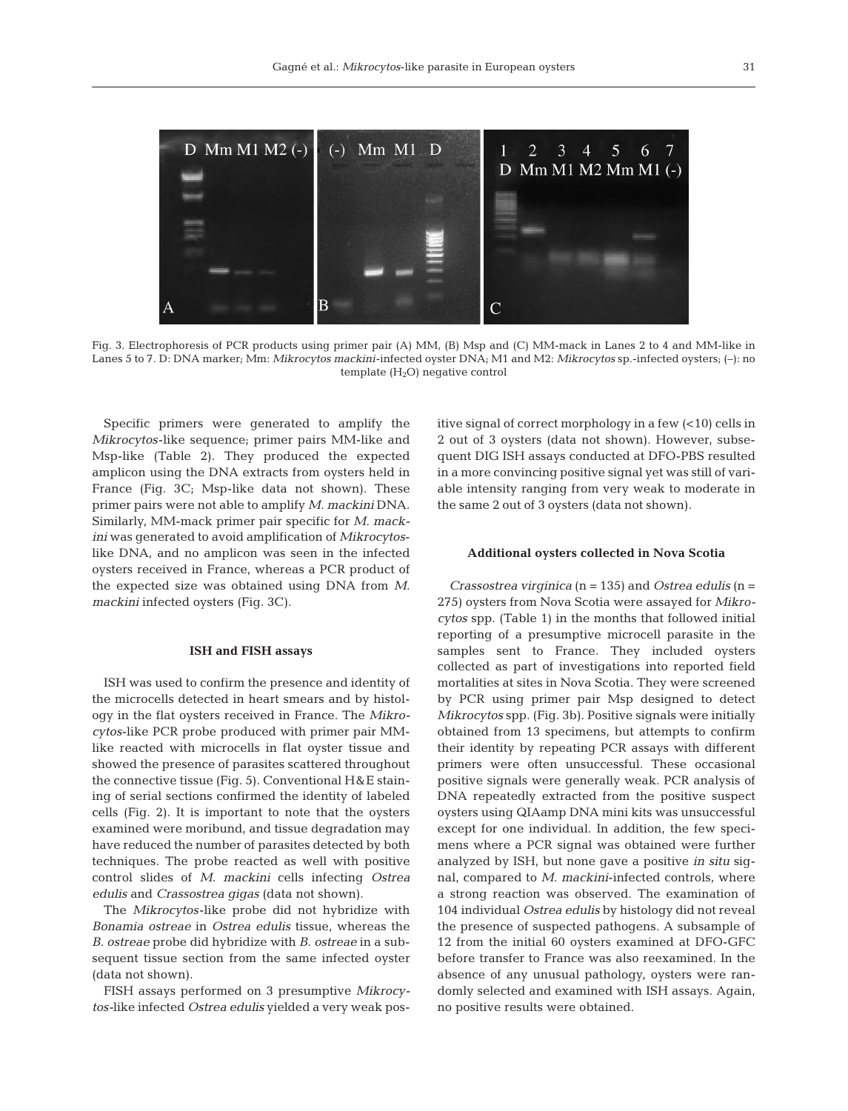

Fig. 3. Electrophoresis of PCR products using primer pair (A) MM, (B) Msp and (C) MM-mack in Lanes 2 to 4 and MM-like in Lanes 5 to 7. D: DNA marker; Mm: *Mikrocytos mackini*-infected oyster DNA; M1 and M2: *Mikrocytos* sp.-infected oysters; (–): no template  $(H_2O)$  negative control

Specific primers were generated to amplify the *Mikrocytos*-like sequence; primer pairs MM-like and Msp-like (Table 2). They produced the expected amplicon using the DNA extracts from oysters held in France (Fig. 3C; Msp-like data not shown). These primer pairs were not able to amplify *M. mackini* DNA. Similarly, MM-mack primer pair specific for *M. mackini* was generated to avoid amplification of *Mikrocytos*like DNA, and no amplicon was seen in the infected oysters received in France, whereas a PCR product of the expected size was obtained using DNA from *M. mackini* infected oysters (Fig. 3C).

## **ISH and FISH assays**

ISH was used to confirm the presence and identity of the microcells detected in heart smears and by histology in the flat oysters received in France. The *Mikrocytos*-like PCR probe produced with primer pair MMlike reacted with microcells in flat oyster tissue and showed the presence of parasites scattered throughout the connective tissue (Fig. 5). Conventional H&E staining of serial sections confirmed the identity of labeled cells (Fig. 2). It is important to note that the oysters examined were moribund, and tissue degradation may have reduced the number of parasites detected by both techniques. The probe reacted as well with positive control slides of *M. mackini* cells infecting *Ostrea edulis* and *Crassostrea gigas* (data not shown).

The *Mikrocytos*-like probe did not hybridize with *Bonamia ostreae* in *Ostrea edulis* tissue, whereas the *B. ostreae* probe did hybridize with *B. ostreae* in a subsequent tissue section from the same infected oyster (data not shown).

FISH assays performed on 3 presumptive *Mikrocytos-*like infected *Ostrea edulis* yielded a very weak positive signal of correct morphology in a few (<10) cells in 2 out of 3 oysters (data not shown). However, subsequent DIG ISH assays conducted at DFO-PBS resulted in a more convincing positive signal yet was still of variable intensity ranging from very weak to moderate in the same 2 out of 3 oysters (data not shown).

#### **Additional oysters collected in Nova Scotia**

*Crassostrea virginica* (n = 135) and *Ostrea edulis* (n = 275) oysters from Nova Scotia were assayed for *Mikrocytos* spp. (Table 1) in the months that followed initial reporting of a presumptive microcell parasite in the samples sent to France. They included oysters collected as part of investigations into reported field mortalities at sites in Nova Scotia. They were screened by PCR using primer pair Msp designed to detect *Mikrocytos* spp. (Fig. 3b). Positive signals were initially obtained from 13 specimens, but attempts to confirm their identity by repeating PCR assays with different primers were often unsuccessful. These occasional positive signals were generally weak. PCR analysis of DNA repeatedly extracted from the positive suspect oysters using QIAamp DNA mini kits was unsuccessful except for one individual. In addition, the few specimens where a PCR signal was obtained were further analyzed by ISH, but none gave a positive *in situ* signal, compared to *M. mackini*-infected controls, where a strong reaction was observed. The examination of 104 individual *Ostrea edulis* by histology did not reveal the presence of suspected pathogens. A subsample of 12 from the initial 60 oysters examined at DFO-GFC before transfer to France was also reexamined. In the absence of any unusual pathology, oysters were randomly selected and examined with ISH assays. Again, no positive results were obtained.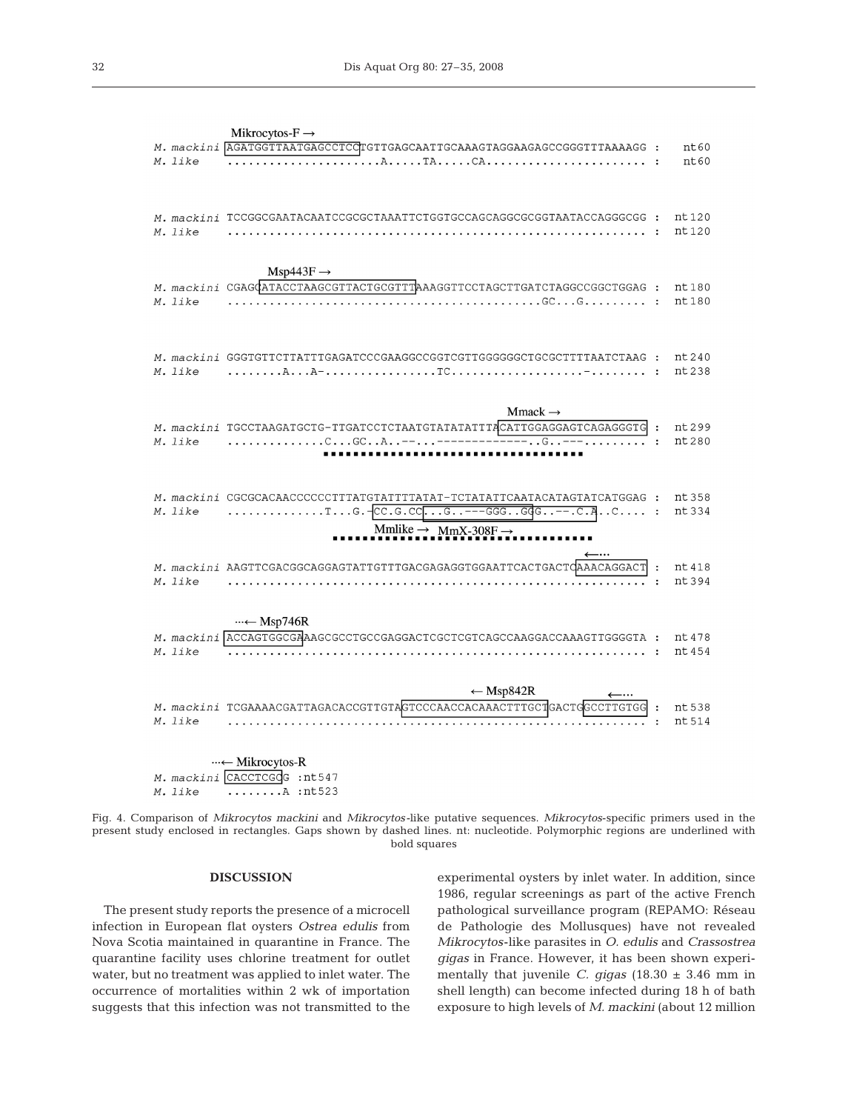|         | Mikrocytos- $F \rightarrow$                                                                                                                                                                            |                  |
|---------|--------------------------------------------------------------------------------------------------------------------------------------------------------------------------------------------------------|------------------|
| M. like | M. mackini <b>AGATGGTTAATGAGCCTCC</b> TGTTGAGCAATTGCAAAGTAGGAAGAGCCGGGTTTAAAAGG :                                                                                                                      | nt60<br>nt60     |
|         | M. mackini TCCGGCGAATACAATCCGCGCTAAATTCTGGTGCCAGCAGGCGCGGTAATACCAGGGCGG :                                                                                                                              | nt 120           |
| M. like |                                                                                                                                                                                                        | nt 120           |
|         | $Msp443F \rightarrow$<br>M. mackini CGAGGATACCTAAGCGTTACTGCGTTTAAAGGTTCCTAGCTTGATCTAGGCCGGCTGGAG:                                                                                                      | nt 180           |
| M. like |                                                                                                                                                                                                        | nt 180           |
|         | M. mackini GGGTGTTCTTATTTGAGATCCCGAAGGCCGGTCGTTGGGGGGCTGCGCTTTTAATCTAAG :<br>$M.$ like $\ldots \ldots \ldots$ $\lambda \ldots \lambda^{-1}$ . $\ldots \ldots \ldots \ldots \ldots \ldots$              | nt 240<br>nt 238 |
|         |                                                                                                                                                                                                        |                  |
|         | $Mmack \rightarrow$<br>M. mackini TGCCTAAGATGCTG-TTGATCCTCTAATGTATATTTTACATTGGAGGAGTCAGAGGGTG :<br>$M.$ like $\ldots \ldots \ldots \ldots \ldots C \ldots G C \ldots A \ldots - \ldots$<br>-----G--- t | nt 299<br>nt 280 |
|         |                                                                                                                                                                                                        |                  |
| M. like | M. mackini CGCGCACAACCCCCCTTTATGTATTTTATAT-TCTATATTCAATACATAGTATCATGGAG:<br>TG. $-CC.G.CC_1G. ---GGG.GGG. --.C.A.$                                                                                     | nt 358<br>nt 334 |
|         | Mmlike $\rightarrow$ MmX-308F $\rightarrow$                                                                                                                                                            |                  |
| M. like | M. mackini AAGTTCGACGGCAGGAGTATTGTTTGACGAGAGGTGGAATTCACTGACTQAAACAGGACT                                                                                                                                | nt 418<br>nt 394 |
|         | $\cdots \leftarrow \text{Msp746R}$                                                                                                                                                                     |                  |
| M. like | M. mackini ACCAGTGGCGAAAGCGCCTGCCGAGGACTCGCTCGTCAGCCAAGGACCAAAGTTGGGGTA :                                                                                                                              | nt 478<br>nt 454 |
|         | $\leftarrow$ Msp842R                                                                                                                                                                                   |                  |
| M. like | M. mackini TCGAAAACGATTAGACACCGTTGTAGTCCCAACCACAAACTTTGCTGACTGGCCTTGTGG                                                                                                                                | nt 538<br>nt 514 |
|         | …← Mikrocytos-R                                                                                                                                                                                        |                  |
|         | M. mackini CACCTCGCG : nt547                                                                                                                                                                           |                  |

M. like  $\ldots \ldots$  . A : nt 523

Fig. 4. Comparison of *Mikrocytos mackini* and *Mikrocytos-*like putative sequences. *Mikrocytos*-specific primers used in the present study enclosed in rectangles. Gaps shown by dashed lines. nt: nucleotide. Polymorphic regions are underlined with bold squares

## **DISCUSSION**

The present study reports the presence of a microcell infection in European flat oysters *Ostrea edulis* from Nova Scotia maintained in quarantine in France. The quarantine facility uses chlorine treatment for outlet water, but no treatment was applied to inlet water. The occurrence of mortalities within 2 wk of importation suggests that this infection was not transmitted to the

experimental oysters by inlet water. In addition, since 1986, regular screenings as part of the active French pathological surveillance program (REPAMO: Réseau de Pathologie des Mollusques) have not revealed *Mikrocytos*-like parasites in *O. edulis* and *Crassostrea gigas* in France. However, it has been shown experimentally that juvenile *C. gigas* (18.30 ± 3.46 mm in shell length) can become infected during 18 h of bath exposure to high levels of *M. mackini* (about 12 million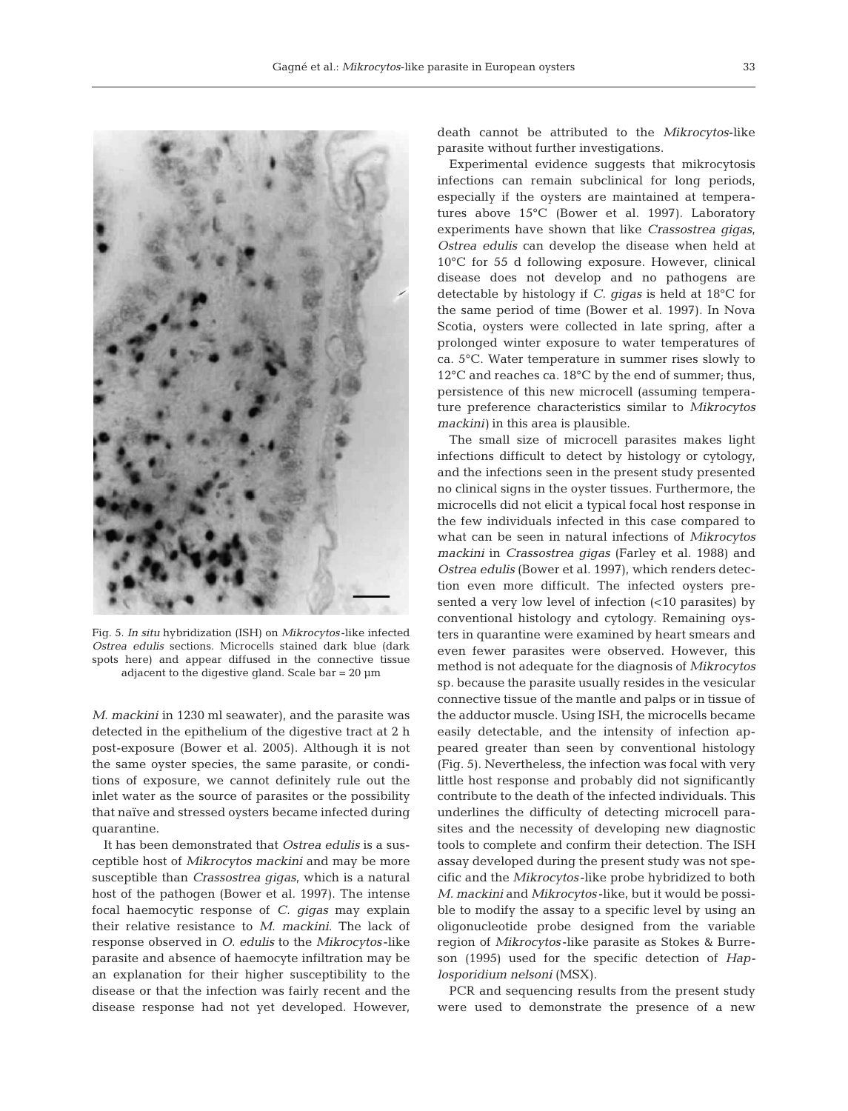

Fig. 5. *In situ* hybridization (ISH) on *Mikrocytos* -like infected *Ostrea edulis* sections. Microcells stained dark blue (dark spots here) and appear diffused in the connective tissue adjacent to the digestive gland. Scale bar = 20 µm

*M. mackini* in 1230 ml seawater), and the parasite was detected in the epithelium of the digestive tract at 2 h post-exposure (Bower et al. 2005). Although it is not the same oyster species, the same parasite, or conditions of exposure, we cannot definitely rule out the inlet water as the source of parasites or the possibility that naïve and stressed oysters became infected during quarantine.

It has been demonstrated that *Ostrea edulis* is a susceptible host of *Mikrocytos mackini* and may be more susceptible than *Crassostrea gigas*, which is a natural host of the pathogen (Bower et al. 1997). The intense focal haemocytic response of *C. gigas* may explain their relative resistance to *M. mackini*. The lack of response observed in *O. edulis* to the *Mikrocytos* -like parasite and absence of haemocyte infiltration may be an explanation for their higher susceptibility to the disease or that the infection was fairly recent and the disease response had not yet developed. However, death cannot be attributed to the *Mikrocytos*-like parasite without further investigations.

Experimental evidence suggests that mikrocytosis infections can remain subclinical for long periods, especially if the oysters are maintained at temperatures above 15°C (Bower et al. 1997). Laboratory experiments have shown that like *Crassostrea gigas*, *Ostrea edulis* can develop the disease when held at 10°C for 55 d following exposure. However, clinical disease does not develop and no pathogens are detectable by histology if *C. gigas* is held at 18°C for the same period of time (Bower et al. 1997). In Nova Scotia, oysters were collected in late spring, after a prolonged winter exposure to water temperatures of ca. 5°C. Water temperature in summer rises slowly to 12°C and reaches ca. 18°C by the end of summer; thus, persistence of this new microcell (assuming temperature preference characteristics similar to *Mikrocytos mackini)* in this area is plausible.

The small size of microcell parasites makes light infections difficult to detect by histology or cytology, and the infections seen in the present study presented no clinical signs in the oyster tissues. Furthermore, the microcells did not elicit a typical focal host response in the few individuals infected in this case compared to what can be seen in natural infections of *Mikrocytos mackini* in *Crassostrea gigas* (Farley et al. 1988) and *Ostrea edulis* (Bower et al. 1997), which renders detection even more difficult. The infected oysters presented a very low level of infection (<10 parasites) by conventional histology and cytology. Remaining oysters in quarantine were examined by heart smears and even fewer parasites were observed. However, this method is not adequate for the diagnosis of *Mikrocytos* sp. because the parasite usually resides in the vesicular connective tissue of the mantle and palps or in tissue of the adductor muscle. Using ISH, the microcells became easily detectable, and the intensity of infection appeared greater than seen by conventional histology (Fig. 5). Nevertheless, the infection was focal with very little host response and probably did not significantly contribute to the death of the infected individuals. This underlines the difficulty of detecting microcell parasites and the necessity of developing new diagnostic tools to complete and confirm their detection. The ISH assay developed during the present study was not specific and the *Mikrocytos* -like probe hybridized to both *M. mackini* and *Mikrocytos* -like, but it would be possible to modify the assay to a specific level by using an oligonucleotide probe designed from the variable region of *Mikrocytos* -like parasite as Stokes & Burreson (1995) used for the specific detection of *Haplosporidium nelsoni* (MSX).

PCR and sequencing results from the present study were used to demonstrate the presence of a new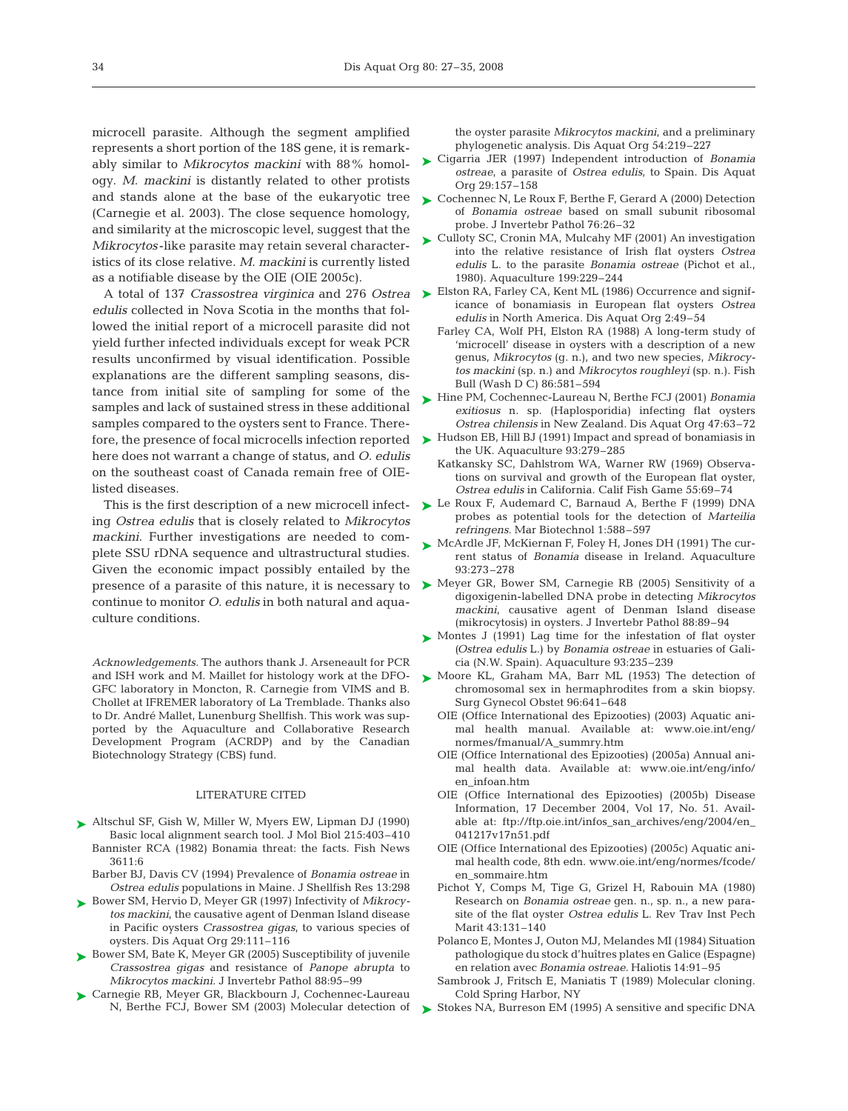microcell parasite. Although the segment amplified represents a short portion of the 18S gene, it is remarkably similar to *Mikrocytos mackini* with 88% homology. *M. mackini* is distantly related to other protists and stands alone at the base of the eukaryotic tree (Carnegie et al. 2003). The close sequence homology, and similarity at the microscopic level, suggest that the *Mikrocytos* -like parasite may retain several characteristics of its close relative. *M. mackini* is currently listed as a notifiable disease by the OIE (OIE 2005c).

*edulis* collected in Nova Scotia in the months that followed the initial report of a microcell parasite did not yield further infected individuals except for weak PCR results unconfirmed by visual identification. Possible explanations are the different sampling seasons, distance from initial site of sampling for some of the samples and lack of sustained stress in these additional samples compared to the oysters sent to France. Therefore, the presence of focal microcells infection reported ► Hudson EB, Hill BJ (1991) Impact and spread of bonamiasis in here does not warrant a change of status, and *O. edulis* on the southeast coast of Canada remain free of OIElisted diseases.

This is the first description of a new microcell infecting *Ostrea edulis* that is closely related to *Mikrocytos mackini*. Further investigations are needed to complete SSU rDNA sequence and ultrastructural studies. Given the economic impact possibly entailed by the continue to monitor *O. edulis* in both natural and aquaculture conditions.

*Acknowledgements.* The authors thank J. Arseneault for PCR and ISH work and M. Maillet for histology work at the DFO-GFC laboratory in Moncton, R. Carnegie from VIMS and B. Chollet at IFREMER laboratory of La Tremblade. Thanks also to Dr. André Mallet, Lunenburg Shellfish. This work was supported by the Aquaculture and Collaborative Research Development Program (ACRDP) and by the Canadian Biotechnology Strategy (CBS) fund.

#### LITERATURE CITED

- ▶ Altschul SF, Gish W, Miller W, Myers EW, Lipman DJ (1990) Basic local alignment search tool. J Mol Biol 215:403–410 Bannister RCA (1982) Bonamia threat: the facts. Fish News 3611:6
	- Barber BJ, Davis CV (1994) Prevalence of *Bonamia ostreae* in *Ostrea edulis* populations in Maine. J Shellfish Res 13:298
- Bower SM, Hervio D, Meyer GR (1997) Infectivity of *Mikrocy-*➤ *tos mackini*, the causative agent of Denman Island disease in Pacific oysters *Crassostrea gigas*, to various species of oysters. Dis Aquat Org 29:111–116
- ► Bower SM, Bate K, Meyer GR (2005) Susceptibility of juvenile *Crassostrea gigas* and resistance of *Panope abrupta* to *Mikrocytos mackini.* J Invertebr Pathol 88:95–99
- ► Carnegie RB, Meyer GR, Blackbourn J, Cochennec-Laureau N, Berthe FCJ, Bower SM (2003) Molecular detection of

the oyster parasite *Mikrocytos mackini*, and a preliminary phylogenetic analysis. Dis Aquat Org 54:219–227

- Cigarria JER (1997) Independent introduction of *Bonamia ostreae*, a parasite of *Ostrea edulis*, to Spain. Dis Aquat Org 29:157–158 ➤
- ► Cochennec N, Le Roux F, Berthe F, Gerard A (2000) Detection of *Bonamia ostreae* based on small subunit ribosomal probe. J Invertebr Pathol 76:26–32
- ► Culloty SC, Cronin MA, Mulcahy MF (2001) An investigation into the relative resistance of Irish flat oysters *Ostrea edulis* L. to the parasite *Bonamia ostreae* (Pichot et al., 1980). Aquaculture 199:229–244
- A total of 137 *Crassostrea virginica* and 276 *Ostrea* Elston RA, Farley CA, Kent ML (1986) Occurrence and signif-➤ icance of bonamiasis in European flat oysters *Ostrea edulis* in North America. Dis Aquat Org 2:49–54
	- Farley CA, Wolf PH, Elston RA (1988) A long-term study of 'microcell' disease in oysters with a description of a new genus, *Mikrocytos* (g. n.), and two new species, *Mikrocytos mackini* (sp. n.) and *Mikrocytos roughleyi* (sp. n.). Fish Bull (Wash D C) 86:581–594
	- ► Hine PM, Cochennec-Laureau N, Berthe FCJ (2001) *Bonamia exitiosus* n. sp. (Haplosporidia) infecting flat oysters *Ostrea chilensis* in New Zealand. Dis Aquat Org 47:63–72
		- the UK. Aquaculture 93:279–285
		- Katkansky SC, Dahlstrom WA, Warner RW (1969) Observations on survival and growth of the European flat oyster, *Ostrea edulis* in California. Calif Fish Game 55:69–74
	- ► Le Roux F, Audemard C, Barnaud A, Berthe F (1999) DNA probes as potential tools for the detection of *Marteilia refringens.* Mar Biotechnol 1:588–597
	- ► McArdle JF, McKiernan F, Foley H, Jones DH (1991) The current status of *Bonamia* disease in Ireland. Aquaculture 93:273–278
- presence of a parasite of this nature, it is necessary to  $\triangleright$  Meyer GR, Bower SM, Carnegie RB (2005) Sensitivity of a digoxigenin-labelled DNA probe in detecting *Mikrocytos mackini*, causative agent of Denman Island disease (mikrocytosis) in oysters. J Invertebr Pathol 88:89–94
	- ► Montes J (1991) Lag time for the infestation of flat oyster *(Ostrea edulis* L.) by *Bonamia ostreae* in estuaries of Galicia (N.W. Spain). Aquaculture 93:235–239
	- ▶ Moore KL, Graham MA, Barr ML (1953) The detection of chromosomal sex in hermaphrodites from a skin biopsy. Surg Gynecol Obstet 96:641–648
		- OIE (Office International des Epizooties) (2003) Aquatic animal health manual. Available at: www.oie.int/eng/ normes/fmanual/A\_summry.htm
		- OIE (Office International des Epizooties) (2005a) Annual animal health data. Available at: www.oie.int/eng/info/ en\_infoan.htm
		- OIE (Office International des Epizooties) (2005b) Disease Information, 17 December 2004, Vol 17, No. 51. Available at: ftp://ftp.oie.int/infos\_san\_archives/eng/2004/en\_ 041217v17n51.pdf
		- OIE (Office International des Epizooties) (2005c) Aquatic animal health code, 8th edn. www.oie.int/eng/normes/fcode/ en\_sommaire.htm
		- Pichot Y, Comps M, Tige G, Grizel H, Rabouin MA (1980) Research on *Bonamia ostreae* gen. n., sp. n., a new parasite of the flat oyster *Ostrea edulis* L. Rev Trav Inst Pech Marit 43:131–140
		- Polanco E, Montes J, Outon MJ, Melandes MI (1984) Situation pathologique du stock d'huîtres plates en Galice (Espagne) en relation avec *Bonamia ostreae.* Haliotis 14:91–95
		- Sambrook J, Fritsch E, Maniatis T (1989) Molecular cloning. Cold Spring Harbor, NY
	- Stokes NA, Burreson EM (1995) A sensitive and specific DNA ➤